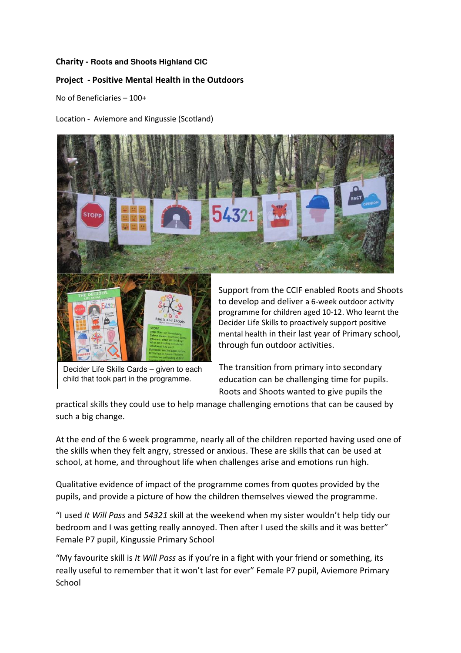## Charity - **Roots and Shoots Highland CIC**

## Project - Positive Mental Health in the Outdoors

No of Beneficiaries – 100+

Location - Aviemore and Kingussie (Scotland)





Decider Life Skills Cards – given to each child that took part in the programme.

Support from the CCIF enabled Roots and Shoots to develop and deliver a 6-week outdoor activity programme for children aged 10-12. Who learnt the Decider Life Skills to proactively support positive mental health in their last year of Primary school, through fun outdoor activities.

The transition from primary into secondary education can be challenging time for pupils. Roots and Shoots wanted to give pupils the

practical skills they could use to help manage challenging emotions that can be caused by such a big change.

At the end of the 6 week programme, nearly all of the children reported having used one of the skills when they felt angry, stressed or anxious. These are skills that can be used at school, at home, and throughout life when challenges arise and emotions run high.

Qualitative evidence of impact of the programme comes from quotes provided by the pupils, and provide a picture of how the children themselves viewed the programme.

"I used It Will Pass and 54321 skill at the weekend when my sister wouldn't help tidy our bedroom and I was getting really annoyed. Then after I used the skills and it was better" Female P7 pupil, Kingussie Primary School

"My favourite skill is It Will Pass as if you're in a fight with your friend or something, its really useful to remember that it won't last for ever" Female P7 pupil, Aviemore Primary School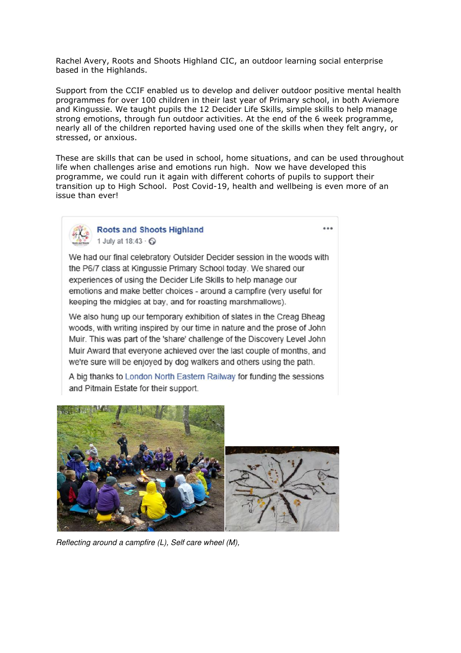Rachel Avery, Roots and Shoots Highland CIC, an outdoor learning social enterprise based in the Highlands.

Support from the CCIF enabled us to develop and deliver outdoor positive mental health programmes for over 100 children in their last year of Primary school, in both Aviemore and Kingussie. We taught pupils the 12 Decider Life Skills, simple skills to help manage strong emotions, through fun outdoor activities. At the end of the 6 week programme, nearly all of the children reported having used one of the skills when they felt angry, or stressed, or anxious.

These are skills that can be used in school, home situations, and can be used throughout life when challenges arise and emotions run high. Now we have developed this programme, we could run it again with different cohorts of pupils to support their transition up to High School. Post Covid-19, health and wellbeing is even more of an issue than ever!

 $\overline{a}$ 



We had our final celebratory Outsider Decider session in the woods with the P6/7 class at Kingussie Primary School today. We shared our experiences of using the Decider Life Skills to help manage our emotions and make better choices - around a campfire (very useful for keeping the midgies at bay, and for roasting marshmallows).

We also hung up our temporary exhibition of slates in the Creag Bheag woods, with writing inspired by our time in nature and the prose of John Muir. This was part of the 'share' challenge of the Discovery Level John Muir Award that everyone achieved over the last couple of months, and we're sure will be enjoyed by dog walkers and others using the path.

A big thanks to London North Eastern Railway for funding the sessions and Pitmain Estate for their support.



Reflecting around a campfire (L), Self care wheel (M),